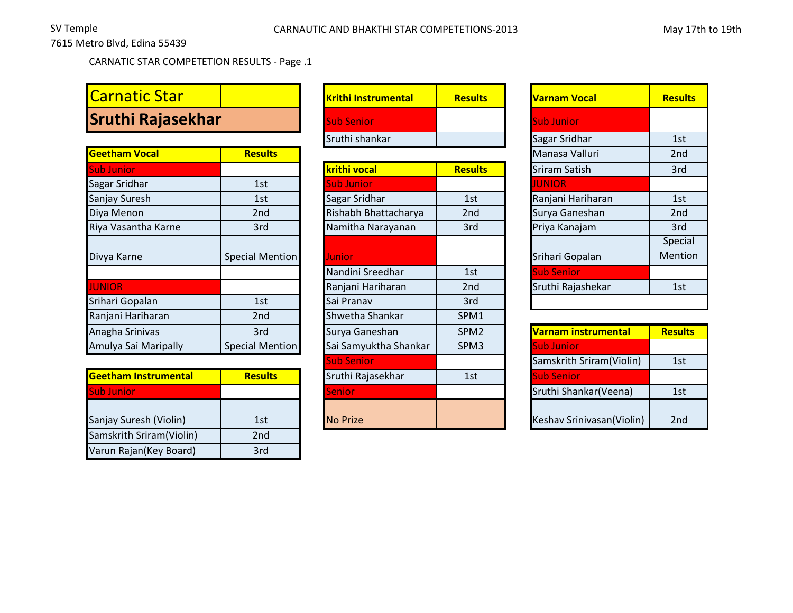7615 Metro Blvd, Edina 55439

CARNATIC STAR COMPETETION RESULTS - Page .1

## **Carnatic Star Sruthi Rajasekhar**

| <b>Results</b>         |                       |                  | Manasa Valluri       | 2 <sub>nd</sub> |
|------------------------|-----------------------|------------------|----------------------|-----------------|
|                        | krithi vocal          | <b>Results</b>   | <b>Sriram Satish</b> | 3rd             |
| 1st                    | <b>Sub Junior</b>     |                  | <b>JUNIOR</b>        |                 |
| 1st                    | Sagar Sridhar         | 1st              | Ranjani Hariharan    | 1st             |
| 2nd                    | Rishabh Bhattacharya  | 2nd              | Surya Ganeshan       | 2 <sub>nd</sub> |
| 3rd                    | Namitha Narayanan     | 3rd              | Priya Kanajam        | 3rd             |
|                        |                       |                  |                      | Special         |
| <b>Special Mention</b> | Junior                |                  | Srihari Gopalan      | Mentior         |
|                        | Nandini Sreedhar      | 1st              | <b>Sub Senior</b>    |                 |
|                        | Ranjani Hariharan     | 2 <sub>nd</sub>  | Sruthi Rajashekar    | 1st             |
| 1st                    | Sai Pranav            | 3rd              |                      |                 |
| 2 <sub>nd</sub>        | Shwetha Shankar       | SPM1             |                      |                 |
| 3rd                    | Surya Ganeshan        | SPM <sub>2</sub> | Varnam instrumental  | <b>Results</b>  |
| <b>Special Mention</b> | Sai Samyuktha Shankar | SPM3             | <b>Sub Junior</b>    |                 |
|                        |                       |                  |                      |                 |

| <b>Geetham Instrumental</b> | <b>Results</b> | Sruthi Rajasekhar | 1st | <b>ISub Senior</b>        |     |
|-----------------------------|----------------|-------------------|-----|---------------------------|-----|
| <b>Sub Junior</b>           |                | <b>ISenior</b>    |     | Sruthi Shankar (Veena)    | 1st |
| Sanjay Suresh (Violin)      | 1st            | <b>No Prize</b>   |     | Keshav Srinivasan(Violin) | 2nd |
| Samskrith Sriram(Violin)    | 2nd            |                   |     |                           |     |
| Varun Rajan(Key Board)      | 3rd            |                   |     |                           |     |

| Krithi Instrumental | <b>Results</b> | <b>Varnam Vocal</b> |               | <b>Resu</b> |
|---------------------|----------------|---------------------|---------------|-------------|
| <b>Sub Senior</b>   |                |                     | Sub Junior    |             |
| Sruthi shankar      |                |                     | Sagar Sridhar | 1st         |

| <b>krithi vocal</b>   | <b>Results</b>   | <b>Sriram Satish</b>      | 3rd             |
|-----------------------|------------------|---------------------------|-----------------|
| <b>Sub Junior</b>     |                  | <b>JUNIOR</b>             |                 |
| Sagar Sridhar         | 1st              | Ranjani Hariharan         | 1st             |
| Rishabh Bhattacharya  | 2nd              | Surya Ganeshan            | 2 <sub>nc</sub> |
| Namitha Narayanan     | 3rd              | Priya Kanajam             | 3rd             |
| Junior                |                  | Srihari Gopalan           | Speci<br>Menti  |
| Nandini Sreedhar      | 1st              | <b>Sub Senior</b>         |                 |
| Ranjani Hariharan     | 2nd              | Sruthi Rajashekar         | 1st             |
| Sai Pranav            | 3rd              |                           |                 |
| Shwetha Shankar       | SPM1             |                           |                 |
| Surya Ganeshan        | SPM <sub>2</sub> | Varnam instrumental       | <b>Resul</b>    |
| Sai Samyuktha Shankar | SPM3             | <b>Sub Junior</b>         |                 |
| <b>Sub Senior</b>     |                  | Samskrith Sriram(Violin)  | 1st             |
| Sruthi Rajasekhar     | 1st              | <b>Sub Senior</b>         |                 |
| Senior                |                  | Sruthi Shankar(Veena)     | 1st             |
| <b>No Prize</b>       |                  | Keshav Srinivasan(Violin) | 2nc             |

| <b>Varnam Vocal</b> | <b>Results</b>  |
|---------------------|-----------------|
| <b>Sub Junior</b>   |                 |
| Sagar Sridhar       | 1st             |
| Manasa Valluri      | 2 <sub>nd</sub> |
| Sriram Satish       | 3rd             |
| <b>JUNIOR</b>       |                 |
| Ranjani Hariharan   | 1st             |
| Surya Ganeshan      | 2nd             |
| Priya Kanajam       | 3rd             |
|                     | Special         |
| Srihari Gopalan     | Mention         |
| <b>Sub Senior</b>   |                 |
| Sruthi Rajashekar   | 1st             |
|                     |                 |

| Varnam instrumental       | <b>Results</b>  |
|---------------------------|-----------------|
| <b>Sub Junior</b>         |                 |
| Samskrith Sriram(Violin)  | 1st             |
| <b>Sub Senior</b>         |                 |
| Sruthi Shankar (Veena)    | 1st             |
| Keshav Srinivasan(Violin) | 2 <sub>nd</sub> |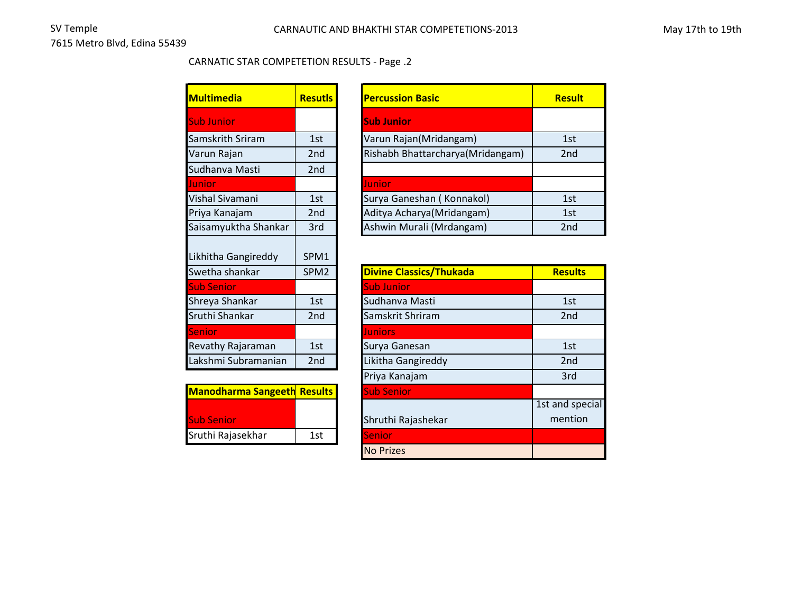## CARNATIC STAR COMPETETION RESULTS - Page .2

| <b>Multimedia</b>                     | <b>Resutls</b>           | <b>Percussion</b>  |
|---------------------------------------|--------------------------|--------------------|
| <b>Sub Junior</b>                     |                          | <b>Sub Junior</b>  |
| Samskrith Sriram                      | 1st                      | Varun Raja         |
| Varun Rajan                           | 2nd                      | Rishabh Bh         |
| Sudhanva Masti                        | 2 <sub>nd</sub>          |                    |
| Junior                                |                          | Junior             |
| Vishal Sivamani                       | 1st                      | Surya Gane         |
| Priya Kanajam                         | 2 <sub>nd</sub>          | Aditya Ach         |
| Saisamyuktha Shankar                  | 3rd                      | Ashwin Mu          |
| Likhitha Gangireddy<br>Swetha shankar | SPM1<br>SPM <sub>2</sub> | <b>Divine Clas</b> |
| <b>Sub Senior</b>                     |                          | <b>Sub Junior</b>  |
| Shreya Shankar                        | 1st                      | Sudhanva l         |
| Sruthi Shankar                        | 2 <sub>nd</sub>          | Samskrit Sł        |
| Senior                                |                          | <b>Juniors</b>     |
| Revathy Rajaraman                     | 1st                      | Surya Gane         |
| Lakshmi Subramanian                   | 2 <sub>nd</sub>          | Likitha Gan        |
|                                       |                          | Priya Kanaj        |

| <b>Manodharma Sangeeth Results</b> |     | <b>Sub Senior</b>  |
|------------------------------------|-----|--------------------|
| <b>Sub Senior</b>                  |     | Shruthi Rajashekar |
| Sruthi Rajasekhar                  | 1st | <b>Senior</b>      |

| <b>Multimedia</b>    | <b>Resutis</b>  | <b>Percussion Basic</b>          | <b>Result</b>   |
|----------------------|-----------------|----------------------------------|-----------------|
| <b>Sub Junior</b>    |                 | <b>Sub Junior</b>                |                 |
| Samskrith Sriram     | 1st             | Varun Rajan(Mridangam)           | 1st             |
| Varun Rajan          | 2 <sub>nd</sub> | Rishabh Bhattarcharya(Mridangam) | 2 <sub>nd</sub> |
| Sudhanva Masti       | 2nd             |                                  |                 |
| Junior.              |                 | Junior                           |                 |
| Vishal Sivamani      | 1st             | Surya Ganeshan (Konnakol)        | 1st             |
| Priya Kanajam        | 2 <sub>nd</sub> | Aditya Acharya (Mridangam)       | 1st             |
| Saisamyuktha Shankar | 3rd             | Ashwin Murali (Mrdangam)         | 2 <sub>nd</sub> |
|                      |                 |                                  |                 |

| SPM <sub>2</sub>                             | <b>Divine Classics/Thukada</b> | <b>Results</b>  |
|----------------------------------------------|--------------------------------|-----------------|
|                                              | <b>Sub Junior</b>              |                 |
| 1st                                          | Sudhanva Masti                 | 1st             |
| 2 <sub>nd</sub>                              | Samskrit Shriram               | 2 <sub>nd</sub> |
|                                              | <b>Juniors</b>                 |                 |
| 1st                                          | Surya Ganesan                  | 1st             |
| 2nd                                          | Likitha Gangireddy             | 2 <sub>nd</sub> |
|                                              | Priya Kanajam                  | 3rd             |
| <b>Manodharma Sangeeth</b><br><b>Results</b> | <b>Sub Senior</b>              |                 |
|                                              |                                | 1st and special |
|                                              | Shruthi Rajashekar             | mention         |
| 1st                                          | <b>Senior</b>                  |                 |
|                                              | <b>No Prizes</b>               |                 |
|                                              |                                |                 |